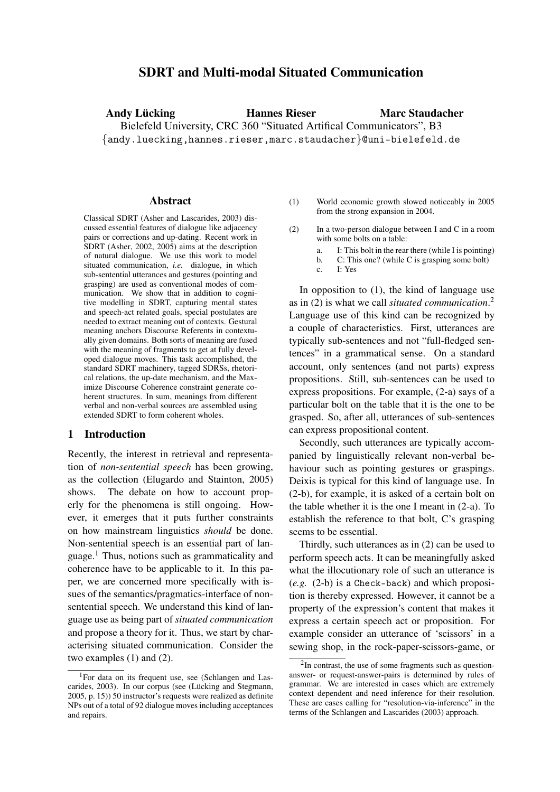# **SDRT and Multi-modal Situated Communication**

**Andy Lücking Hannes Rieser** Bielefeld University, CRC 360 "Situated Artifical Communicators", B3 {andy.luecking,hannes.rieser,marc.staudacher}@uni-bielefeld.de **Marc Staudacher**

#### **Abstract**

Classical SDRT (Asher and Lascarides, 2003) discussed essential features of dialogue like adjacency pairs or corrections and up-dating. Recent work in SDRT (Asher, 2002, 2005) aims at the description of natural dialogue. We use this work to model situated communication, *i.e.* dialogue, in which sub-sentential utterances and gestures (pointing and grasping) are used as conventional modes of communication. We show that in addition to cognitive modelling in SDRT, capturing mental states and speech-act related goals, special postulates are needed to extract meaning out of contexts. Gestural meaning anchors Discourse Referents in contextually given domains. Both sorts of meaning are fused with the meaning of fragments to get at fully developed dialogue moves. This task accomplished, the standard SDRT machinery, tagged SDRSs, rhetorical relations, the up-date mechanism, and the Maximize Discourse Coherence constraint generate coherent structures. In sum, meanings from different verbal and non-verbal sources are assembled using extended SDRT to form coherent wholes.

### **1 Introduction**

Recently, the interest in retrieval and representation of *non-sentential speech* has been growing, as the collection (Elugardo and Stainton, 2005) shows. The debate on how to account properly for the phenomena is still ongoing. However, it emerges that it puts further constraints on how mainstream linguistics *should* be done. Non-sentential speech is an essential part of language.<sup>1</sup> Thus, notions such as grammaticality and coherence have to be applicable to it. In this paper, we are concerned more specifically with issues of the semantics/pragmatics-interface of nonsentential speech. We understand this kind of language use as being part of *situated communication* and propose a theory for it. Thus, we start by characterising situated communication. Consider the two examples (1) and (2).

- (1) World economic growth slowed noticeably in 2005 from the strong expansion in 2004.
- (2) In a two-person dialogue between I and C in a room with some bolts on a table:
	- a. I: This bolt in the rear there (while I is pointing)
	- b. C: This one? (while C is grasping some bolt)
	- c. I: Yes

In opposition to (1), the kind of language use as in (2) is what we call *situated communication*. 2 Language use of this kind can be recognized by a couple of characteristics. First, utterances are typically sub-sentences and not "full-fledged sentences" in a grammatical sense. On a standard account, only sentences (and not parts) express propositions. Still, sub-sentences can be used to express propositions. For example, (2-a) says of a particular bolt on the table that it is the one to be grasped. So, after all, utterances of sub-sentences can express propositional content.

Secondly, such utterances are typically accompanied by linguistically relevant non-verbal behaviour such as pointing gestures or graspings. Deixis is typical for this kind of language use. In (2-b), for example, it is asked of a certain bolt on the table whether it is the one I meant in (2-a). To establish the reference to that bolt, C's grasping seems to be essential.

Thirdly, such utterances as in (2) can be used to perform speech acts. It can be meaningfully asked what the illocutionary role of such an utterance is (*e.g.* (2-b) is a Check-back) and which proposition is thereby expressed. However, it cannot be a property of the expression's content that makes it express a certain speech act or proposition. For example consider an utterance of 'scissors' in a sewing shop, in the rock-paper-scissors-game, or

<sup>1</sup>For data on its frequent use, see (Schlangen and Lascarides, 2003). In our corpus (see (Lücking and Stegmann, 2005, p. 15)) 50 instructor's requests were realized as definite NPs out of a total of 92 dialogue moves including acceptances and repairs.

<sup>&</sup>lt;sup>2</sup>In contrast, the use of some fragments such as questionanswer- or request-answer-pairs is determined by rules of grammar. We are interested in cases which are extremely context dependent and need inference for their resolution. These are cases calling for "resolution-via-inference" in the terms of the Schlangen and Lascarides (2003) approach.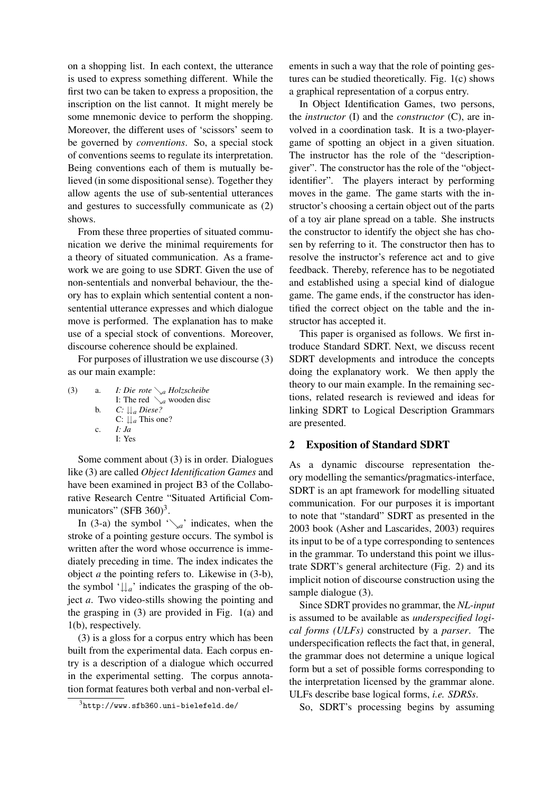on a shopping list. In each context, the utterance is used to express something different. While the first two can be taken to express a proposition, the inscription on the list cannot. It might merely be some mnemonic device to perform the shopping. Moreover, the different uses of 'scissors' seem to be governed by *conventions*. So, a special stock of conventions seems to regulate its interpretation. Being conventions each of them is mutually believed (in some dispositional sense). Together they allow agents the use of sub-sentential utterances and gestures to successfully communicate as (2) shows.

From these three properties of situated communication we derive the minimal requirements for a theory of situated communication. As a framework we are going to use SDRT. Given the use of non-sententials and nonverbal behaviour, the theory has to explain which sentential content a nonsentential utterance expresses and which dialogue move is performed. The explanation has to make use of a special stock of conventions. Moreover, discourse coherence should be explained.

For purposes of illustration we use discourse (3) as our main example:

(3) a. *I:* I: The red  $\searrow_a$  wooden disc *Die rote* ց*a Holzscheibe* b. *C: <sup>a</sup> Diese?* C:  $\downarrow\downarrow$ <sub>a</sub> This one? c. *I: Ja* I: Yes

Some comment about (3) is in order. Dialogues like (3) are called *Object Identification Games* and have been examined in project B3 of the Collaborative Research Centre "Situated Artificial Communicators" (SFB  $360)^3$ .

In (3-a) the symbol  $\sqrt{a}$  indicates, when the stroke of a pointing gesture occurs. The symbol is written after the word whose occurrence is immediately preceding in time. The index indicates the object *a* the pointing refers to. Likewise in (3-b), the symbol ' $\downarrow \downarrow$ <sub>a</sub>' indicates the grasping of the object *a*. Two video-stills showing the pointing and the grasping in (3) are provided in Fig. 1(a) and 1(b), respectively.

(3) is a gloss for a corpus entry which has been built from the experimental data. Each corpus entry is a description of a dialogue which occurred in the experimental setting. The corpus annotation format features both verbal and non-verbal elements in such a way that the role of pointing gestures can be studied theoretically. Fig. 1(c) shows a graphical representation of a corpus entry.

In Object Identification Games, two persons, the *instructor* (I) and the *constructor* (C), are involved in a coordination task. It is a two-playergame of spotting an object in a given situation. The instructor has the role of the "descriptiongiver". The constructor has the role of the "objectidentifier". The players interact by performing moves in the game. The game starts with the instructor's choosing a certain object out of the parts of a toy air plane spread on a table. She instructs the constructor to identify the object she has chosen by referring to it. The constructor then has to resolve the instructor's reference act and to give feedback. Thereby, reference has to be negotiated and established using a special kind of dialogue game. The game ends, if the constructor has identified the correct object on the table and the instructor has accepted it.

This paper is organised as follows. We first introduce Standard SDRT. Next, we discuss recent SDRT developments and introduce the concepts doing the explanatory work. We then apply the theory to our main example. In the remaining sections, related research is reviewed and ideas for linking SDRT to Logical Description Grammars are presented.

### **2 Exposition of Standard SDRT**

As a dynamic discourse representation theory modelling the semantics/pragmatics-interface, SDRT is an apt framework for modelling situated communication. For our purposes it is important to note that "standard" SDRT as presented in the 2003 book (Asher and Lascarides, 2003) requires its input to be of a type corresponding to sentences in the grammar. To understand this point we illustrate SDRT's general architecture (Fig. 2) and its implicit notion of discourse construction using the sample dialogue (3).

Since SDRT provides no grammar, the *NL-input* is assumed to be available as *underspecified logical forms (ULFs)* constructed by a *parser*. The underspecification reflects the fact that, in general, the grammar does not determine a unique logical form but a set of possible forms corresponding to the interpretation licensed by the grammar alone. ULFs describe base logical forms, *i.e. SDRSs*.

So, SDRT's processing begins by assuming

 $3$ http://www.sfb360.uni-bielefeld.de/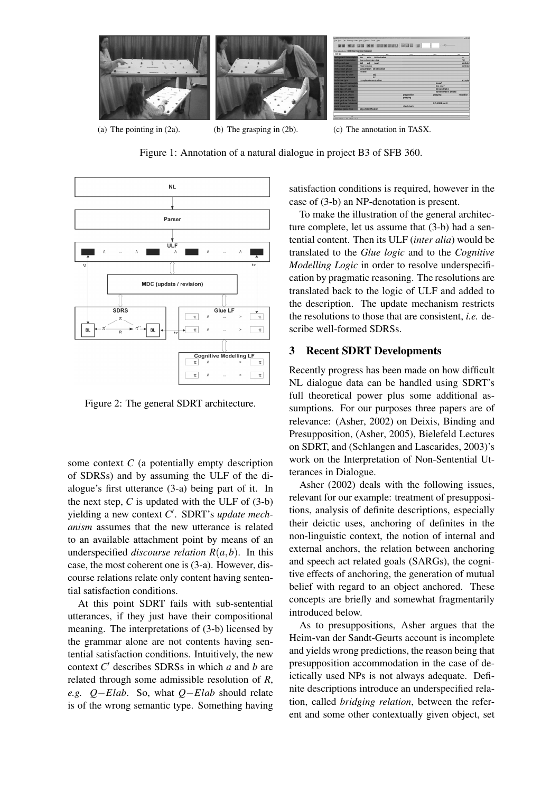

Figure 1: Annotation of a natural dialogue in project B3 of SFB 360.



Figure 2: The general SDRT architecture.

some context *C* (a potentially empty description of SDRSs) and by assuming the ULF of the dialogue's first utterance (3-a) being part of it. In the next step,  $C$  is updated with the ULF of  $(3-b)$ yielding a new context *C* ′ . SDRT's *update mechanism* assumes that the new utterance is related to an available attachment point by means of an underspecified *discourse relation*  $R(a,b)$ . In this case, the most coherent one is (3-a). However, discourse relations relate only content having sentential satisfaction conditions.

At this point SDRT fails with sub-sentential utterances, if they just have their compositional meaning. The interpretations of (3-b) licensed by the grammar alone are not contents having sentential satisfaction conditions. Intuitively, the new context *C* ′ describes SDRSs in which *a* and *b* are related through some admissible resolution of *R*, *e.g. Q*−*Elab*. So, what *Q*−*Elab* should relate is of the wrong semantic type. Something having

satisfaction conditions is required, however in the case of (3-b) an NP-denotation is present.

To make the illustration of the general architecture complete, let us assume that (3-b) had a sentential content. Then its ULF (*inter alia*) would be translated to the *Glue logic* and to the *Cognitive Modelling Logic* in order to resolve underspecification by pragmatic reasoning. The resolutions are translated back to the logic of ULF and added to the description. The update mechanism restricts the resolutions to those that are consistent, *i.e.* describe well-formed SDRSs.

#### **3 Recent SDRT Developments**

Recently progress has been made on how difficult NL dialogue data can be handled using SDRT's full theoretical power plus some additional assumptions. For our purposes three papers are of relevance: (Asher, 2002) on Deixis, Binding and Presupposition, (Asher, 2005), Bielefeld Lectures on SDRT, and (Schlangen and Lascarides, 2003)'s work on the Interpretation of Non-Sentential Utterances in Dialogue.

Asher (2002) deals with the following issues, relevant for our example: treatment of presuppositions, analysis of definite descriptions, especially their deictic uses, anchoring of definites in the non-linguistic context, the notion of internal and external anchors, the relation between anchoring and speech act related goals (SARGs), the cognitive effects of anchoring, the generation of mutual belief with regard to an object anchored. These concepts are briefly and somewhat fragmentarily introduced below.

As to presuppositions, Asher argues that the Heim-van der Sandt-Geurts account is incomplete and yields wrong predictions, the reason being that presupposition accommodation in the case of deictically used NPs is not always adequate. Definite descriptions introduce an underspecified relation, called *bridging relation*, between the referent and some other contextually given object, set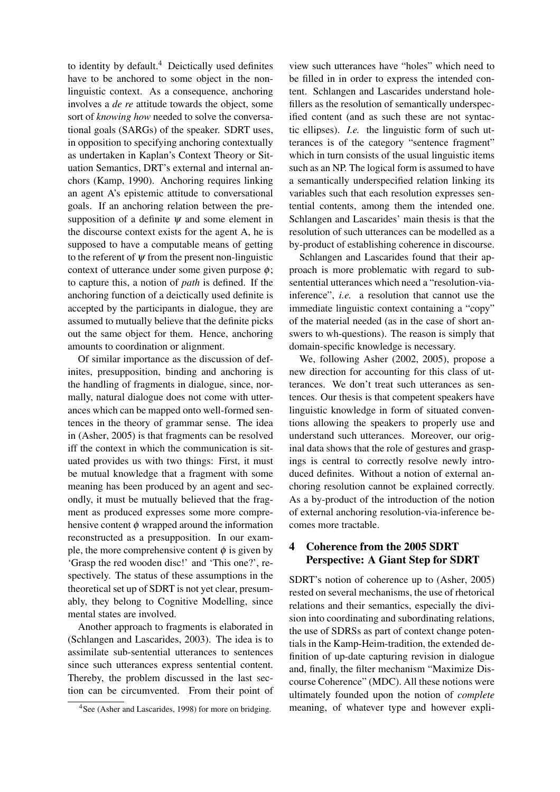to identity by default.<sup>4</sup> Deictically used definites have to be anchored to some object in the nonlinguistic context. As a consequence, anchoring involves a *de re* attitude towards the object, some sort of *knowing how* needed to solve the conversational goals (SARGs) of the speaker. SDRT uses, in opposition to specifying anchoring contextually as undertaken in Kaplan's Context Theory or Situation Semantics, DRT's external and internal anchors (Kamp, 1990). Anchoring requires linking an agent A's epistemic attitude to conversational goals. If an anchoring relation between the presupposition of a definite  $\psi$  and some element in the discourse context exists for the agent A, he is supposed to have a computable means of getting to the referent of  $\psi$  from the present non-linguistic context of utterance under some given purpose  $\phi$ ; to capture this, a notion of *path* is defined. If the anchoring function of a deictically used definite is accepted by the participants in dialogue, they are assumed to mutually believe that the definite picks out the same object for them. Hence, anchoring amounts to coordination or alignment.

Of similar importance as the discussion of definites, presupposition, binding and anchoring is the handling of fragments in dialogue, since, normally, natural dialogue does not come with utterances which can be mapped onto well-formed sentences in the theory of grammar sense. The idea in (Asher, 2005) is that fragments can be resolved iff the context in which the communication is situated provides us with two things: First, it must be mutual knowledge that a fragment with some meaning has been produced by an agent and secondly, it must be mutually believed that the fragment as produced expresses some more comprehensive content  $\phi$  wrapped around the information reconstructed as a presupposition. In our example, the more comprehensive content  $\phi$  is given by 'Grasp the red wooden disc!' and 'This one?', respectively. The status of these assumptions in the theoretical set up of SDRT is not yet clear, presumably, they belong to Cognitive Modelling, since mental states are involved.

Another approach to fragments is elaborated in (Schlangen and Lascarides, 2003). The idea is to assimilate sub-sentential utterances to sentences since such utterances express sentential content. Thereby, the problem discussed in the last section can be circumvented. From their point of view such utterances have "holes" which need to be filled in in order to express the intended content. Schlangen and Lascarides understand holefillers as the resolution of semantically underspecified content (and as such these are not syntactic ellipses). *I.e.* the linguistic form of such utterances is of the category "sentence fragment" which in turn consists of the usual linguistic items such as an NP. The logical form is assumed to have a semantically underspecified relation linking its variables such that each resolution expresses sentential contents, among them the intended one. Schlangen and Lascarides' main thesis is that the resolution of such utterances can be modelled as a by-product of establishing coherence in discourse.

Schlangen and Lascarides found that their approach is more problematic with regard to subsentential utterances which need a "resolution-viainference", *i.e.* a resolution that cannot use the immediate linguistic context containing a "copy" of the material needed (as in the case of short answers to wh-questions). The reason is simply that domain-specific knowledge is necessary.

We, following Asher (2002, 2005), propose a new direction for accounting for this class of utterances. We don't treat such utterances as sentences. Our thesis is that competent speakers have linguistic knowledge in form of situated conventions allowing the speakers to properly use and understand such utterances. Moreover, our original data shows that the role of gestures and graspings is central to correctly resolve newly introduced definites. Without a notion of external anchoring resolution cannot be explained correctly. As a by-product of the introduction of the notion of external anchoring resolution-via-inference becomes more tractable.

# **4 Coherence from the 2005 SDRT Perspective: A Giant Step for SDRT**

SDRT's notion of coherence up to (Asher, 2005) rested on several mechanisms, the use of rhetorical relations and their semantics, especially the division into coordinating and subordinating relations, the use of SDRSs as part of context change potentials in the Kamp-Heim-tradition, the extended definition of up-date capturing revision in dialogue and, finally, the filter mechanism "Maximize Discourse Coherence" (MDC). All these notions were ultimately founded upon the notion of *complete* meaning, of whatever type and however expli-

<sup>4</sup>See (Asher and Lascarides, 1998) for more on bridging.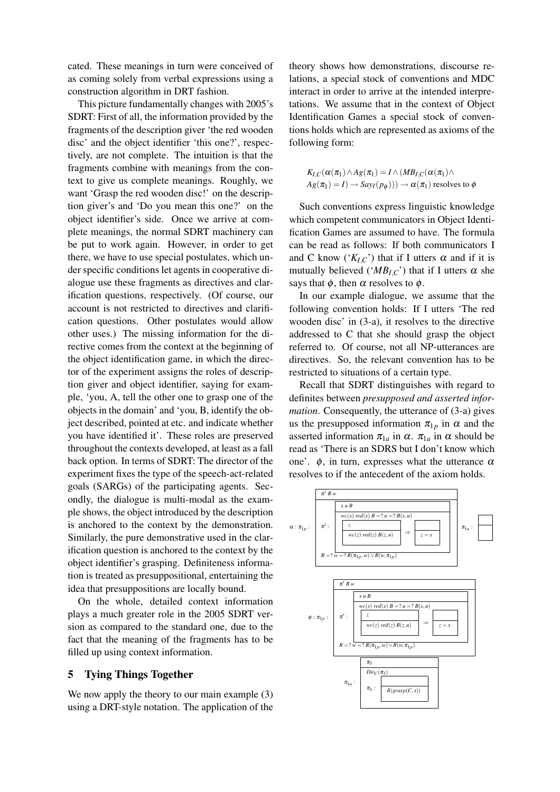cated. These meanings in turn were conceived of as coming solely from verbal expressions using a construction algorithm in DRT fashion.

This picture fundamentally changes with 2005's SDRT: First of all, the information provided by the fragments of the description giver 'the red wooden disc' and the object identifier 'this one?', respectively, are not complete. The intuition is that the fragments combine with meanings from the context to give us complete meanings. Roughly, we want 'Grasp the red wooden disc!' on the description giver's and 'Do you mean this one?' on the object identifier's side. Once we arrive at complete meanings, the normal SDRT machinery can be put to work again. However, in order to get there, we have to use special postulates, which under specific conditions let agents in cooperative dialogue use these fragments as directives and clarification questions, respectively. (Of course, our account is not restricted to directives and clarification questions. Other postulates would allow other uses.) The missing information for the directive comes from the context at the beginning of the object identification game, in which the director of the experiment assigns the roles of description giver and object identifier, saying for example, 'you, A, tell the other one to grasp one of the objects in the domain' and 'you, B, identify the object described, pointed at etc. and indicate whether you have identified it'. These roles are preserved throughout the contexts developed, at least as a fall back option. In terms of SDRT: The director of the experiment fixes the type of the speech-act-related goals (SARGs) of the participating agents. Secondly, the dialogue is multi-modal as the example shows, the object introduced by the description is anchored to the context by the demonstration. Similarly, the pure demonstrative used in the clarification question is anchored to the context by the object identifier's grasping. Definiteness information is treated as presuppositional, entertaining the idea that presuppositions are locally bound.

On the whole, detailed context information plays a much greater role in the 2005 SDRT version as compared to the standard one, due to the fact that the meaning of the fragments has to be filled up using context information.

# **5 Tying Things Together**

We now apply the theory to our main example  $(3)$ using a DRT-style notation. The application of the theory shows how demonstrations, discourse relations, a special stock of conventions and MDC interact in order to arrive at the intended interpretations. We assume that in the context of Object Identification Games a special stock of conventions holds which are represented as axioms of the following form:

$$
K_{I,C}(\alpha(\pi_1) \wedge Ag(\pi_1) = I \wedge (MB_{I,C}(\alpha(\pi_1)) \wedge
$$
  
 
$$
Ag(\pi_1) = I) \rightarrow Say_I(p_{\phi}))) \rightarrow \alpha(\pi_1)
$$
 resolves to  $\phi$ 

Such conventions express linguistic knowledge which competent communicators in Object Identification Games are assumed to have. The formula can be read as follows: If both communicators I and C know  $({}^{\prime}K_{I,C}$ <sup>'</sup>) that if I utters  $\alpha$  and if it is mutually believed (' $MB<sub>L,C</sub>$ ') that if I utters  $\alpha$  she says that  $\phi$ , then  $\alpha$  resolves to  $\phi$ .

In our example dialogue, we assume that the following convention holds: If I utters 'The red wooden disc' in (3-a), it resolves to the directive addressed to C that she should grasp the object referred to. Of course, not all NP-utterances are directives. So, the relevant convention has to be restricted to situations of a certain type.

Recall that SDRT distinguishes with regard to definites between *presupposed and asserted information*. Consequently, the utterance of (3-a) gives us the presupposed information  $\pi_{1p}$  in  $\alpha$  and the asserted information  $\pi_{1a}$  in  $\alpha$ .  $\pi_{1a}$  in  $\alpha$  should be read as 'There is an SDRS but I don't know which one'.  $\phi$ , in turn, expresses what the utterance  $\alpha$ resolves to if the antecedent of the axiom holds.

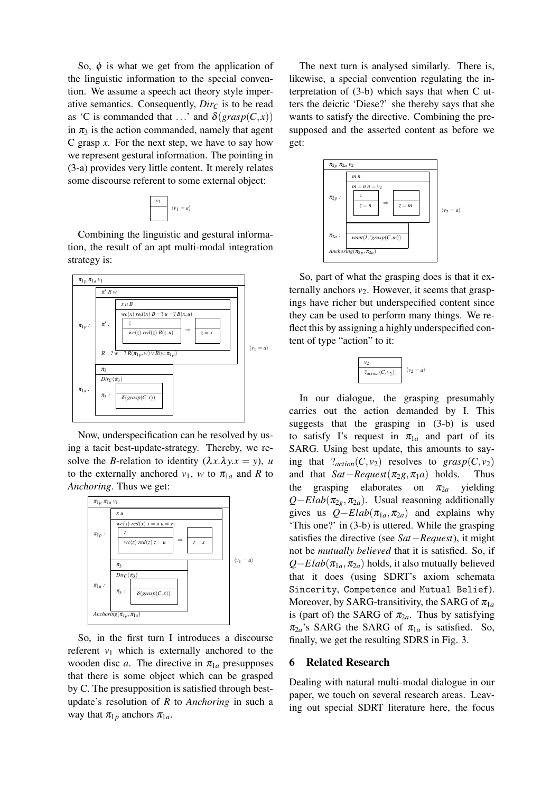So,  $\phi$  is what we get from the application of the linguistic information to the special convention. We assume a speech act theory style imperative semantics. Consequently,  $Dir_C$  is to be read as 'C is commanded that ...' and  $\delta(grasp(C, x))$ in  $\pi_3$  is the action commanded, namely that agent C grasp *x*. For the next step, we have to say how we represent gestural information. The pointing in (3-a) provides very little content. It merely relates some discourse referent to some external object:



Combining the linguistic and gestural information, the result of an apt multi-modal integration strategy is:



Now, underspecification can be resolved by using a tacit best-update-strategy. Thereby, we resolve the *B*-relation to identity  $(\lambda x.\lambda y.x = y)$ , *u* to the externally anchored  $v_1$ , *w* to  $\pi_{1a}$  and *R* to *Anchoring*. Thus we get:



So, in the first turn I introduces a discourse referent  $v_1$  which is externally anchored to the wooden disc *a*. The directive in  $\pi_{1a}$  presupposes that there is some object which can be grasped by C. The presupposition is satisfied through bestupdate's resolution of *R* to *Anchoring* in such a way that  $\pi_{1p}$  anchors  $\pi_{1a}$ .

The next turn is analysed similarly. There is, likewise, a special convention regulating the interpretation of (3-b) which says that when C utters the deictic 'Diese?' she thereby says that she wants to satisfy the directive. Combining the presupposed and the asserted content as before we get:



So, part of what the grasping does is that it externally anchors  $v_2$ . However, it seems that graspings have richer but underspecified content since they can be used to perform many things. We reflect this by assigning a highly underspecified content of type "action" to it:

| $?_{action}(C, v_2)$ | $= a'$ |
|----------------------|--------|

In our dialogue, the grasping presumably carries out the action demanded by I. This suggests that the grasping in (3-b) is used to satisfy I's request in  $\pi_{1a}$  and part of its SARG. Using best update, this amounts to saying that  $?_{action}(C, v_2)$  resolves to *grasp*(*C*, *v*<sub>2</sub>) and that *Sat* – *Request*( $\pi_2 \cdot \pi_1 a$ ) holds. Thus and that  $Sat-Request(\pi_2g, \pi_1a)$  holds. Thus<br>the grasping elaborates on  $\pi_{2a}$  yielding grasping elaborates on  $Q$ −*Elab*( $\pi_{2g}$ , $\pi_{2a}$ ). Usual reasoning additionally gives us  $Q-Elab(\pi_{1a}, \pi_{2a})$  and explains why 'This one?' in (3-b) is uttered. While the grasping satisfies the directive (see *Sat*−*Request*), it might not be *mutually believed* that it is satisfied. So, if  $Q$ −*Elab*( $\pi_{1a}$ , $\pi_{2a}$ ) holds, it also mutually believed that it does (using SDRT's axiom schemata Sincerity, Competence and Mutual Belief). Moreover, by SARG-transitivity, the SARG of  $\pi_{1a}$ is (part of) the SARG of  $\pi_{2a}$ . Thus by satisfying  $\pi_{2a}$ 's SARG the SARG of  $\pi_{1a}$  is satisfied. So, finally, we get the resulting SDRS in Fig. 3.

### **6 Related Research**

Dealing with natural multi-modal dialogue in our paper, we touch on several research areas. Leaving out special SDRT literature here, the focus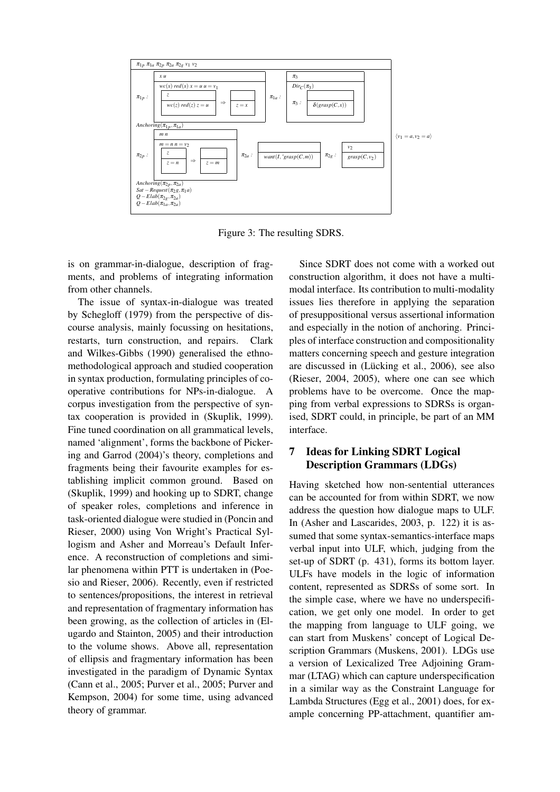

Figure 3: The resulting SDRS.

is on grammar-in-dialogue, description of fragments, and problems of integrating information from other channels.

The issue of syntax-in-dialogue was treated by Schegloff (1979) from the perspective of discourse analysis, mainly focussing on hesitations, restarts, turn construction, and repairs. Clark and Wilkes-Gibbs (1990) generalised the ethnomethodological approach and studied cooperation in syntax production, formulating principles of cooperative contributions for NPs-in-dialogue. A corpus investigation from the perspective of syntax cooperation is provided in (Skuplik, 1999). Fine tuned coordination on all grammatical levels, named 'alignment', forms the backbone of Pickering and Garrod (2004)'s theory, completions and fragments being their favourite examples for establishing implicit common ground. Based on (Skuplik, 1999) and hooking up to SDRT, change of speaker roles, completions and inference in task-oriented dialogue were studied in (Poncin and Rieser, 2000) using Von Wright's Practical Syllogism and Asher and Morreau's Default Inference. A reconstruction of completions and similar phenomena within PTT is undertaken in (Poesio and Rieser, 2006). Recently, even if restricted to sentences/propositions, the interest in retrieval and representation of fragmentary information has been growing, as the collection of articles in (Elugardo and Stainton, 2005) and their introduction to the volume shows. Above all, representation of ellipsis and fragmentary information has been investigated in the paradigm of Dynamic Syntax (Cann et al., 2005; Purver et al., 2005; Purver and Kempson, 2004) for some time, using advanced theory of grammar.

Since SDRT does not come with a worked out construction algorithm, it does not have a multimodal interface. Its contribution to multi-modality issues lies therefore in applying the separation of presuppositional versus assertional information and especially in the notion of anchoring. Principles of interface construction and compositionality matters concerning speech and gesture integration are discussed in (Lücking et al., 2006), see also (Rieser, 2004, 2005), where one can see which problems have to be overcome. Once the mapping from verbal expressions to SDRSs is organised, SDRT could, in principle, be part of an MM interface.

# **7 Ideas for Linking SDRT Logical Description Grammars (LDGs)**

Having sketched how non-sentential utterances can be accounted for from within SDRT, we now address the question how dialogue maps to ULF. In (Asher and Lascarides, 2003, p. 122) it is assumed that some syntax-semantics-interface maps verbal input into ULF, which, judging from the set-up of SDRT (p. 431), forms its bottom layer. ULFs have models in the logic of information content, represented as SDRSs of some sort. In the simple case, where we have no underspecification, we get only one model. In order to get the mapping from language to ULF going, we can start from Muskens' concept of Logical Description Grammars (Muskens, 2001). LDGs use a version of Lexicalized Tree Adjoining Grammar (LTAG) which can capture underspecification in a similar way as the Constraint Language for Lambda Structures (Egg et al., 2001) does, for example concerning PP-attachment, quantifier am